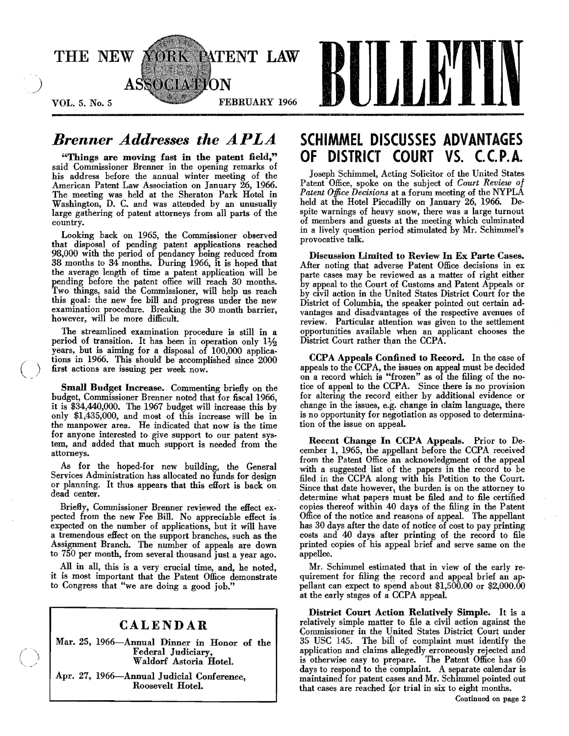

# *Brenner Addresses the APLA*

"Things are moving fast in the patent field," said Commissioner Brenner in the opening remarks of his address before the annual winter meeting of the American Patent Law Association on January 26, 1966. The meeting was held at the Sheraton Park Hotel in Washington, D. C. and was attended by an unusually large gathering of patent attorneys from all parts of the country.

Looking back on 1965, the Commissioner observed that disposal of pending patent applications reached 98,000 with the period of pendancy being reduced from 38 months to 34 months. During 1966, it is hoped that the average length of time a patent application will be pending before the patent office will reach 30 months. Two things, said the Commissioner, will help us reach this goal: the new fee bill and progress under the new examination procedure. Breaking the 30 month barrier, however, will be more difficult.

The streamlined examination procedure is still in a period of transition. It has been in operation only  $1\frac{1}{2}$ years, but is aiming for a disposal of 100,000 applications in 1966. This should be accomplished since 2000 first actions are issuing per week now.

 $\overline{()}$ 

Small Budget Increase. Commenting briefly on the budget, Commissioner Brenner noted that for fiscal 1966, it is \$34,440,000. The 1967 budget will increase this by only \$1,435,000, and most of this increase will be in the manpower area. He indicated that now is the time for anyone interested to give support to our patent system, and added that much support is needed from the attorneys.

As for the hoped-for new building, the General Services Administration has allocated no funds for design or planning. It thus appears that this effort is back on dead center.

Briefly, Commissioner Brenner reviewed the effect expected from the new Fee Bill. No appreciable effect is expected on the number of applications, but it will have a tremendous effect on the support branches, such as the Assigmnent Branch. The number of appeals are down to 750 per month, from several thousand just a year ago.

All in all, this is a very crucial time, and, he noted, it is most important that the Patent Office demonstrate to Congress that "we are doing a good job."

## CALENDAR

Mar. 25, 1966--Annual Dinner in Honor of the Federal Judiciary, Waldorf Astoria Hotel.

Apr. 27, 1966—Annual Judicial Conference, Roosevelt Hotel.

# SCHIMMEL DISCUSSES ADVANTAGES OF DISTRICT COURT VS. C.C.P.A.

Joseph Schimmel, Acting Solicitor of the United States Patent Office, spoke on the subject of *Court Review of Patent Office Decisions* at a forum meeting of the NYPLA held at the Hotel Piccadilly on January 26, 1966. De· spite warnings of heavy snow, there was a large turnout of members and guests at the meeting which culminated in a lively question period stimulated by Mr. Schimmel's provocative talk.

Discussion Limited to Review In Ex Parte Cases. After noting that adverse Patent Office decisions in ex parte cases may be reviewed as a matter of right either by appeal to the Court of Customs and Patent Appeals or by civil action in the United States District Court for the District of Columbia, the speaker pointed out certain advantages and disadvantages of the respective avenues of review. Particular attention was given to the settlement opportunities available when an applicant chooses the District Court rather than the CCPA.

CCPA Appeals Confined to Record. In the case of appeals to the CCPA, the issues on appeal must be decided on a record which is "frozen" as of the filing of the notice of appeal to the CCPA. Since there is no provision for altering the record either by additional evidence or change in the issues, e.g. change in claim language, there is no opportunity for negotiation as opposed to determination of the issue on appeal.

Recent Change In CCPA Appeals. Prior to December 1, 1965, the appellant before the CCPA received from the Patent Office an acknowledgment of the appeal with a suggested list of the papers in the record to be filed in the CCPA along with his Petition to the Court. Since that date however, the burden is on the attorney to determine what papers must be filed and to file certified copies thereof within 40 days of the filing in the Patent Office of the notice and reasons of appeal. The appellant has 30 days after the date of notice of cost to pay printing costs and 40 days after printing of the record to file printed copies of his appeal brief and serve same on the appellee.

Mr. Schimmel estimated that in view of the early requirement for filing the record and appeal brief an appellant can expect to spend about \$1,500.00 or \$2,000.00 at the early stages of a CCPA appeal.

District Court Action Relatively Simple. It is a relatively simple matter to file a civil action against the Commissioner in the United States District Court under 35 USC 145. The bill of complaint must identify the application and claims allegedly erroneously rejected and is otherwise easy to prepare. The Patent Office has 60 days to respond to the complaint. A separate calendar is maintained for patent cases and Mr. Schimmel pointed out that cases are reached for trial in six to eight months.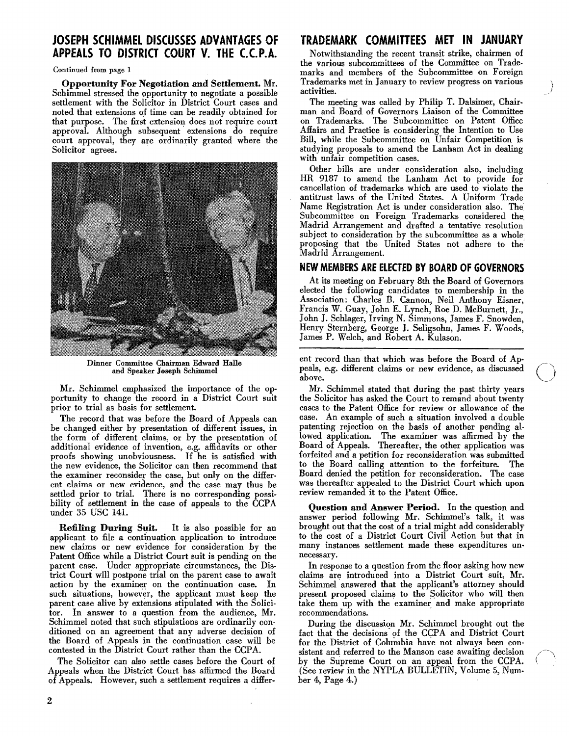## **JOSEPH SCH IMMEL DISCUSSES ADVANTAGES OF APPEALS TO DISTRICT COURT V. THE C.C.P.A.**

Continued from page 1

Opportunity For Negotiation and Settlement. Mr. Schimmel stressed the opportunity to negotiate a possible settlement with the Solicitor in District Court cases and noted that extensions of time can be readily obtained for that purpose. The first extension does not require court approval. Although subsequent extensions do require court approval, they are ordinarily granted where the Solicitor agrees.



Dinner Committee Chairman Edward Halle and Speaker Joseph Schimmel

Mr. Schimmel emphasized the importance of the opportunity to change the record in a District Court suit prior to trial as basis for settlement.

The record that was before the Board of Appeals can be changed either by presentation of different issues, in the form of different claims, or by the presentation of additional evidence of invention, e.g. affidavits or other proofs showing unobviousness. If he is satisfied with the new evidence, the Solicitor can then recommend that the examiner reconsider the case, but only on the different claims or new evidence, and the case may thus be settled prior to trial. There is no corresponding possibility of settlement in the case of appeals to the CCPA under 35 USC 14l.

Refiling During Suit. It is also possible for an applicant to file a continuation application to introduce new claims or new evidence for consideration by the Patent Office while a District Court suit is pending on the parent case. Under appropriate circumstances, the District Court will postpone trial on the parent case to await action by the examiner on the continuation case. In such situations, however, the applicant must keep the parent case alive by extensions stipulated with the Solicitor. In answer to a question from the audience, Mr. Schimmel noted that such stipulations are ordinarily conditioned on an agreement that any adverse decision of the Board of Appeals in the continuation case will be contested in the District Court rather than the CCPA.

The Solicitor can also settle cases before the Court of Appeals when the District Court has affirmed the Board of Appeals. However, such a settlement requires a differ-

# **TRADEMARK COMMITTEES MET IN JANUARY**

Notwithstanding the recent transit strike, chairmen of the various subcommittees of the Committee on Trademarks and members of the Subcommittee on Foreign Trademarks met in January to review progress on various activities.

The meeting was called by Philip T. Dalsimer, Chairman and Board of Governors Liaison of the Committee on Trademarks. The Subcommittee on Patent Office Affairs and Practice is considering the Intention to Use Bill, while the Subcommittee on Unfair Competition is studying proposals to amend the Lanham Act in dealing with unfair competition cases.

Other bills are under consideration also, including HR 9187 to amend the Lanham Act to provide for cancellation of trademarks which are used to violate the antitrust laws of the United States. A Uniform Trade Name Registration Act is under consideration also. The Subcommittee on Foreign Trademarks considered the Madrid Arrangement and drafted a tentative resolution subject to consideration by the subcommittee as a whole proposing that the United States not adhere to the Madrid Arrangement.

#### **NEW MEMBERS ARE ELECTED BY BOARD OF GOVERNORS**

At its meeting on February 8th the Board of Governors elected the following candidates to membership in the Association: Charles B. Cannon, Neil Anthony Eisner, Francis W. Guay, John E. Lynch, Roe D. McBurnett, Jr., John J. Schlager, Irving N. Simmons, James F. Snowden, Henry Sternberg, George J. Seligsohn, James F. Woods, James P. Welch, and Robert A. Kulason.

ent record than that which was before the Board of Ap peals, e.g. different claims or new evidence, as discussed above.

Mr. Schimmel stated that during the past thirty years the Solicitor has asked the Court to remand about twenty cases to the Patent Office for review or allowance of the case. An example of such a situation involved a double patenting rejection on the basis of another pending allowed application. The examiner was affirmed by the Board of Appeals. Thereafter, the other application was forfeited and a petition for reconsideration was submitted to the Board calling attention to the forfeiture. The Board denied the petition for reconsideration. The case was thereafter appealed to the District Court which upon review remanded it to the Patent Office.

Question and Answer Period. In the question and answer period following Mr. Schimmel's talk, it was brought out that the cost of a trial might add considerably to the cost of a District Court Civil Action but that in many instances settlement made these expenditures unnecessary.

In response to a question from the floor asking how new claims are introduced into a District Court suit, Mr. Schimmel answered that the applicant's attorney should present proposed claims to the Solicitor who will then take them up with the examiner and make appropriate recommendations.

During the discussion Mr. Schimmel brought out the fact that the decisions of the CCPA and District Court for the District of Columbia have not always been consistent and referred to the Manson case awaiting decision by the Supreme Court on an appeal from the CCPA. (See review in the NYPLA BULLETIN, Volume 5, Number 4, Page 4.)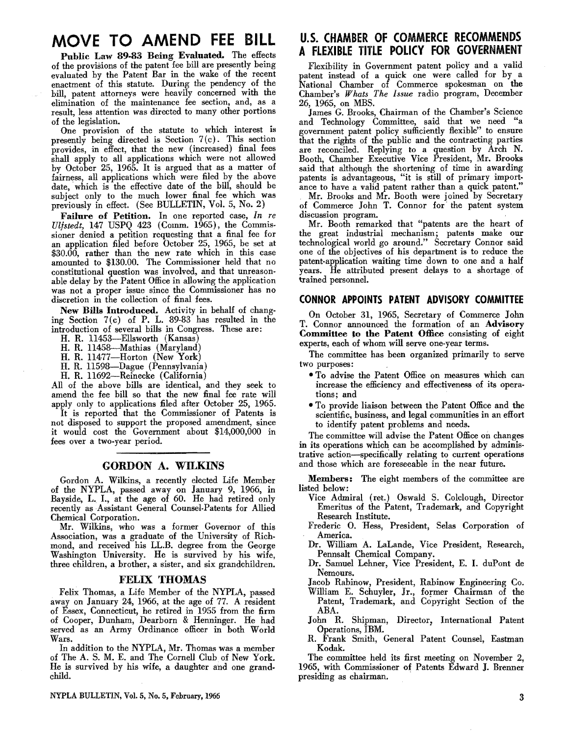# **MOVE TO AMEND FEE BILL**

Public Law 89·83 Being Evaluated. The effects of the provisions of the patent fee bill are presently being evaluated by the Patent Bar in the wake of the recent enactment of this statute. During the pendency of the bill, patent attorneys were heavily concerned with the elimination of the maintenance fee section, and, as a result, less attention was directed to many other portions of the legislation.

One provision of the statute to which interest is presently being directed is Section  $7(c)$ . This section provides, in effect, that the new (increased) final fees shall apply to all applications which were not allowed by October 25, 1965. It is argued that as a matter of fairness, all applications which were filed by the above date, which is the effective date of the bill, should be subject only to the much lower final fee which was previously in effect. (See BULLETIN, Vol. 5, No.2)

Failure of Petition. In one reported case, *In re Uljstedt,* 147 USPQ 423 (Comm. 1965), the Commissioner denied a petition requesting that a final fee for an application filed before October 25, 1965, be set at \$30.00, rather than the new rate which in this case amounted to \$130.00. The Commissioner held that no constitutional question was involved, and that unreason· able delay by the Patent Office in allowing the application was not a proper issue since the Commissioner has no discretion in the collection of final fees.

New Bills Introduced. Activity in behalf of changing Section 7(c) of P. L. 89-83 has resulted in the introduction of several bills in Congress. These are:

H. R. 11453-Ellsworth (Kansas)

H. R. 11458-Mathias (Maryland)

H. R. 11477-Horton (New York)

H. R. 1159S-Dague (Pennsylvania)

H. R. 11692-Reinecke (California)

All of the above bills are identical, and they seek to amend the fee bill so that the new final fee rate will apply only to applications filed after October 25, 1965.

It is reported that the Commissioner of Patents is not disposed to support the proposed amendment, since it would cost the Government about \$14,000,000 in fees over a two-year period.

#### GORDON A. WILKINS

Gordon A. Wilkins, a recently elected Life Member of the NYPLA, passed away on January 9, 1966, in Bayside, L. I., at the age of 60. He had retired only recently as Assistant General Counsel-Patents for Allied Chemical Corporation.

Mr. Wilkins, who was a former Governor of this Association, was a graduate of the University of Rich· mond, and received his LL.B. degree from the George Washington University. He is survived by his wife, three children, a brother, a sister, and six grandchildren.

#### FELIX THOMAS

Felix Thomas, a Life Member of the NYPLA, passed away on January 24, 1966, at the age of 77. A resident of Essex, Connecticut, he retired in 1955 from the firm of Cooper, Dunham, Dearborn & Henninger. He had served as an Army Ordinance officer in both World Wars.

In addition to the NYPLA, Mr. Thomas was a member of The A. S. M. E. and The Cornell Club of New York. He is survived by his wife, a daughter and one grand. child.

# U.S. CHAMBER OF COMMERCE RECOMMENDS A FLEXIBLE TITLE POLICY FOR GOVERNMENT

Flexibility in Government patent policy and a valid patent instead of a quick one were called for by a National Chamber of Commerce spokesman on the Chamber's *Whats The Issue* radio program, December 26, 1965, on MBS.

James G. Brooks, Chairman of the Chamber's Science and Technology Committee, said that we need "a government patent policy sufficiently flexible" to ensure that the rights of the public and the contracting parties are reconciled. Replying to a question by Arch N. Booth, Chamber Executive Vice President, Mr. Brooks said that although the shortening of time in awarding patents is advantageous, "it is still of primary import· ance to have a valid patent rather than a quick patent."

Mr. Brooks and Mr. Booth were joined by Secretary of Commerce John T. Connor for'the patent system discussion program.

Mr. Booth remarked that "patents are the heart of the great industrial mechanism; patents make our technological world go around." Secretary Connor said one of the objectives of his department is to reduce the patent· application waiting time down to one and a half years. He attributed present delays to a shortage of trained personnel.

#### CONNOR APPOINTS PATENT ADVISORY COMMITTEE

On October 31, 1965, Secretary of Commerce John T. Connor announced the formation of an Advisory Committee to the Patent Office consisting of eight experts, each of whom will serve one-year terms.

The committee has been organized primarily to serve two purposes:

- To advise the Patent Office on measures which can increase the efficiency and effectiveness of its opera· tions; and
- To provide liaison between the Patent Office and the scientific, business, and legal communities in an effort to identify patent problems and needs.

The committee will advise the Patent Office on changes in its operations which can be accomplished by administrative action-specifically relating to current operations and those which are foreseeable in the near future.

Members: The eight members of the committee are listed below:

- Vice Admiral (ret.) Oswald S. Colclough, Director Emeritus of the Patent, Trademark, and Copyright Research Institute.
- Frederic O. Hess, President, Selas Corporation of America.
- Dr. William A. LaLande, Vice President, Research, Pennsalt Chemical Company.
- Dr. Samuel Lehner, Vice President, E. I. duPont de Nemours.

Jacob Rabinow, President, Rabinow Engineering Co.

- William E. Schuyler, Jr., former Chairman of the Patent, Trademark, and Copyright Section of the ABA.
- John R. Shipman, Director, International Patent Operations, IBM.
- R. Frank Smith, General Patent Counsel, Eastman Kodak.

The committee held its first meeting on November 2, 1965, with Commissioner of Patents Edward J. Brenner presiding as chairman. .

NYPLA BULLETIN, Vol. 5, No. 5, February, 1966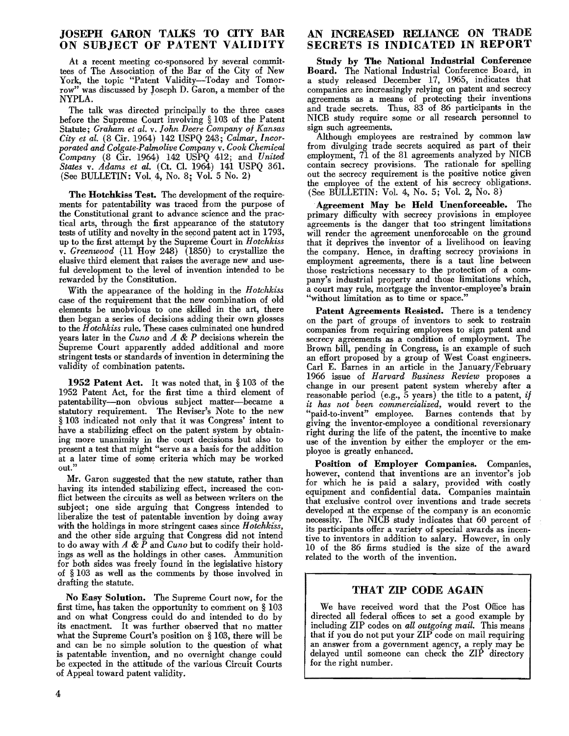#### JOSEPH GARON TALKS TO CITY BAR ON SUBJECT OF PATENT VALIDITY

At a recent meeting co-sponsored by several commit· tees of The Association of the Bar of the City of New York, the topic "Patent Validity-Today and Tomorrow" was discussed by Joseph D. Garon, a member of the NYPLA.

The talk was directed principally to the three cases before the Supreme Court involving § 103 of the Patent Statute; *Graham et al.* v. *fohn Deere Company of Kansas City et al.* (8 Cir. 1964) 142 USPQ 243; *Calmar, Incorporated and Colgate-Palmolive Company* v. *Cook Chemical Company* (8 Cir. 1964) 142 USPQ 412; and *United States* v. *Adams et* al. (Ct. CL 1964) 141 USPQ 36l. (See BULLETIN: Vol. 4, No. 8i. Vol. 5 No.2)

The Hotchkiss Test. The development of the requirements for patentability was traced from the purpose of the Constitutional grant to advance science and the practical arts, through the first appearance of the statutory tests of utility and novelty in the second patent act in 1793, up to the first attemp~ by the Supreme Court in *Hotchkiss*  v. Greenwood (11 How 248) (1850) to crystallize the elusive third element that raises the average new and use· ful development to the level of invention intended to be rewarded by the Constitution.

With the appearance of the holding in the *Hotchkiss*  case of the requirement that the new combination of old elements be unobvious to one skilled in the art, there then began a series of decisions adding their own glosses to the *Hotchkiss* rule. These cases culminated one hundred years later in the *Curu)* and *A* & *P* decisions wherein the Supreme Court apparently added additional and more stringent tests or standards of invention in determining the validity of combination patents.

1952 Patent Act. It was noted that, in § 103 of the 1952 Patent Act, for the first time a third element of patentability-non obvious subject matter-became a statutory requirement. The Reviser's Note to the new § 103 indicated not only that it was Congress' intent to have a stabilizing effect on the patent system by obtaining more unanimity in the court decisions but also to present a test that might "serve as a basis for the addition at a later time of some criteria which may be worked out.'

Mr. Garon suggested that the new statute, rather than having its intended stabilizing effect, increased the conflict between the circuits as well as between writers on the subject; one side arguing that Congress intended to liberalize the test of patentable invention by doing away with the holdings in more stringent cases since *Hotchkiss,*  and the other side arguing that Congress did not intend to do away with *A* & *P* and *Cuno* but to codify their holdings as well as the holdings in other cases. Ammunition for both sides was freely found in the legislative history of § 103 as well as the comments by those involved in drafting the statute.

No Easy Solution. The Supreme Court now, for the first time, has taken the opportunity to comment on § 103 and on what Congress could do and intended to do by its enactment. It was further observed that no matter what the Supreme Court's position on § 103, there will be and can be no simple solution to the question of what is patentable invention, and no overnight change could be expected in the attitude of the various Circuit Courts of Appeal toward patent validity.

#### AN INCREASED RELIANCE ON TRADE SECRETS IS INDICATED IN REPORT

Study by The National Industrial Conference Board. The National Industrial Conference Board, in a study released December 17, 1965, indicates that companies are increasingly relying on patent and secrecy agreements as a means of protecting their inventions and trade secrets. Thus, 83 of 86 participants in the NICB study require some or all research personnel to sign such agreements.

Although employees are restrained by common law from divulging trade secrets acquired as part of their employment, 71 of the 81 agreements analyzed by NICB contain secrecy provisions. The rationale for spelling out the secrecy requirement is the positive notice given the employee of the extent of his secrecy obligations. (See BULLETIN: Vol. 4, No.5; Vol. 2, No.8)

.Agreement May be Held Unenforceable. The primary difficulty with secrecy provisions in employee agreements is the danger that too stringent limitations will render the agreement unenforceable on the ground that it deprives the inventor of a livelihood on leaving the company. Hence, in drafting secrecy provisions in employment agreements, there is a taut line between those restrictions necessary to the protection of a company's industrial property and those limitations which, a court may rule, mortgage the inventor-employee's brain "without limitation as to time or space."

Patent Agreements Resisted. There is a tendency on the part of groups of inventors to seek to restrain companies from requiring employees to sign patent and secrecy agreements as a condition of employment. The Brown bill, pending in Congress, is an example of such an effort proposed by a group of West Coast engineers. Carl E. Barnes in an article in the January*IF*ebruary 1966 issue of *Harvard Business Review* proposes a change in our present patent system whereby after a reasonable period (e.g., 5 years) the title to a patent, *if it has not been commercialized,* would revert to the 'paid-to-invent" employee. Barnes contends that by giving the inventor-employee a conditional reversionary right during the life of the patent, the incentive to make use of the invention by either the employer or the employee is greatly enhanced.

Position of Employer Companies. Companies, however, contend that inventions are an inventor's job for which he is paid a salary, provided with costly equipment and confidential data. Companies maintain that exclusive control over inventions and trade secrets developed at the expense of the company is an economic necessity. The NICB study indicates that 60 percent of its participants offer a variety of special awards as incentive to inventors in addition to salary. However, in only 10 of the 86 firms studied is the size of the award related to the worth of the invention.

#### THAT ZIP CODE AGAIN

We have received word that the Post Office has directed all federal offices to set a good example by including ZIP codes on *all outgoing mail.* This means that if you do not put your ZIP code on mail requiring an answer from a government agency, a reply may be delayed until someone can check the ZIP directory for the right number.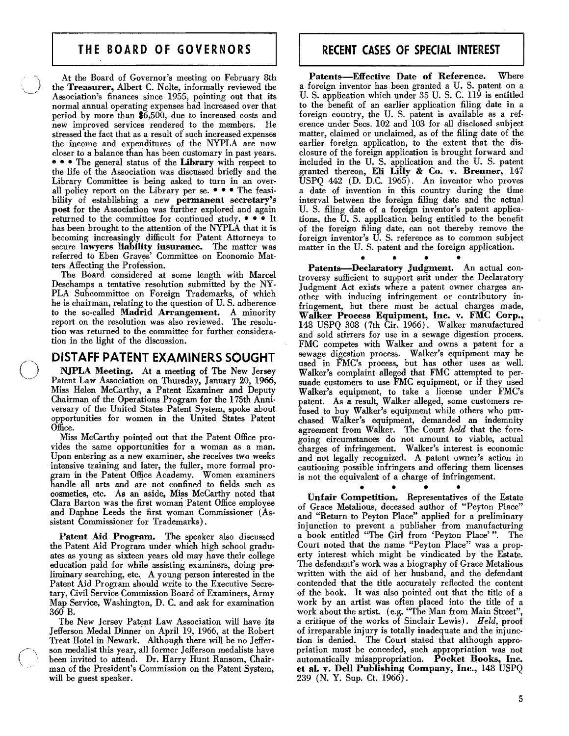# **THE BOARD OF GOVERNORS**

At the Board of Governor's meeting on February 8th the Treasurer, Albert C. Nolte, informally reviewed the Association's finances since 1955, pointing out that its normal annual operating expenses had increased over that period by more than \$6,500, due to increased costs and new improved services rendered to the members. He stressed the fact that as a result of such increased expenses the income and expenditures of the NYPLA are now closer to a balance than has been customary in past years. • e • The general status of the Library with respect to the life of the Association was discussed briefly and the Library Committee is 'being asked to turn in an overall policy report on the Library per se. • • • The feasibility of establishing a new permanent secretary's post for the Association was further explored and again returned to the committee for continued study. • • • It has been brought to the attention of the NYPLA that it is becoming increasingly difficult for Patent Attorneys to secure lawyers liability insurance. The matter was referred to Eben Graves' Committee on Economic Matters Affecting the Profession.

The Board considered at some length with Marcel Deschamps a tentative resolution submitted by the NY-PLA Subcommittee on Foreign Trademarks, of which he is chairman, relating to the question of U.S. adherence to the so-called Madrid Arrangement. A minority report on the resolution was also reviewed. The resolution was returned to the committee for further consideration in the light of the discussion:

### **DISTAFF PATENT EXAMINERS SOUGHT**

NJPLA Meeting. At a meeting of The New Jersey Patent Law Association on Thursday, January 20, 1966, Miss Helen McCarthy, a Patent Examiner and Deputy Chairman of the Operations Program for the 175th Anniversary of the United States Patent System, spoke about opportunities for women in the United States Patent Office.

Miss McCarthy pointed out that the Patent Office provides the same opportunities for a woman as a man. Upon entering as a new examiner, she receives two weeks intensive training and later, the fuller, more formal program in the Patent Office Academy. Women examiners handle all arts and are not confined to fields such as cosmetics, etc. As an aside, Miss McCarthy noted that Clara Barton was the first woman Patent Office employee and Daphne Leeds the first woman Commissioner (Assistant Commissioner for Trademarks).

Patent Aid Program. The speaker also discussed the Patent Aid Program under which high school graduates as young as sixteen years old may have their college education paid for while assisting examiners, doing preliminary searching, etc. A young person interested in the Patent Aid Program should write to the Executive Secretary, Civil Service Commission Board of Examiners, Army Map Service, Washington, D. C. and ask for examination 360 B.

The New Jersey Patent Law Association will have its Jefferson Medal Dinner on April 19, 1966, at the Robert Treat Hotel in Newark. Although there will be no Jefferbeen invited to attend. Dr. Harry Hunt Ransom, Chairman of the President's Commission on the Patent System, will be guest speaker.

## **RECENT CASES OF SPECIAL INTEREST**

Patents-Effective Date of Reference. Where a foreign inventor has been granted a U.S. patent on a U. S. application which under 35 U. S. C. 119 is entitled to the benefit of an earlier application filing date in a foreign country, the U. S. patent is available as a reference under Sees. 102 and 103 for all disclosed subject matter, claimed or unclaimed, as of the filing date of the earlier foreign application, to the extent that the disclosure of the foreign application is brought forward and included in the U. S. application and the U. S. patent granted thereon, Eli Lilly & Co. v. Brenner, 147 USPQ 442 (D. D.C. 1965). An inventor who proves a date of invention in this country during the time interval between the foreign filing date and the actual U. S. filing date of a foreign inventor's patent applications, the U. S. application being entitled to the benefit of the foreign filing date, can not thereby remove the foreign inventor's U. S. reference as to common subject matter in the U. S. patent and the foreign application.

• • • • Patents-Declaratory Judgment. An actual controversy sufficient to support suit under the Declaratory Judgment Act exists where a patent owner charges another with inducing infringement or contributory infringement, but there must be actual charges made, Walker Process Equipment, Inc. v. FMC Corp., 148 USPQ 308 (7th Cir. 1966). Walker manufactured and sold stirrers for use in a sewage digestion process. FMC competes with Walker and owns a patent for a sewage digestion process. Walker's equipment may be used in FMC's process, but has other uses as well. Walker's complaint alleged that FMC attempted to persuade customers to use FMC equipment, or if they used Walker's equipment, to take a license under FMC's patent. As a result, Walker alleged, some customers refused to buy Walker's equipment while others who purchased Walker's equipment, demanded an indemnity agreement from Walker. The Court *held* that the foregoing circumstances do not amount to viable, actual charges of infringement. Walker's interest is economic and not legally recognized. A patent owner's action in cautioning possible infringers and offering them licenses is not the equivalent of a charge of infringement.

Unfair Competition. Representatives of the Estate of Grace Metalious, deceased author of "Peyton Place" and "Return to Peyton Place" applied for a preliminary injunction to prevent a publisher from manufacturing a book entitled "The Girl from 'Peyton Place'". The Court noted that the name "Peyton Place" was a property interest which might be vindicated by the Estate. The defendant's work was a biography of Grace Metalious written with the aid of her husband, and the defendant contended that the title accurately reflected the content of the book. It was also pointed out that the title of a work by an artist was often placed into the title of a work about the artist. (e.g. "The Man from Main Street", a critique of the works of Sinclair Lewis). *Held,* proof of irreparable injury is totally inadequate and the injunction is denied. The Court stated that although appropriation must be conceded, such appropriation was not automatically misappropriation. Pocket Books, Inc. et al. v. Dell Publishing Company, Inc., 148 USPQ 239 (N. Y. Sup. Ct. 1966).